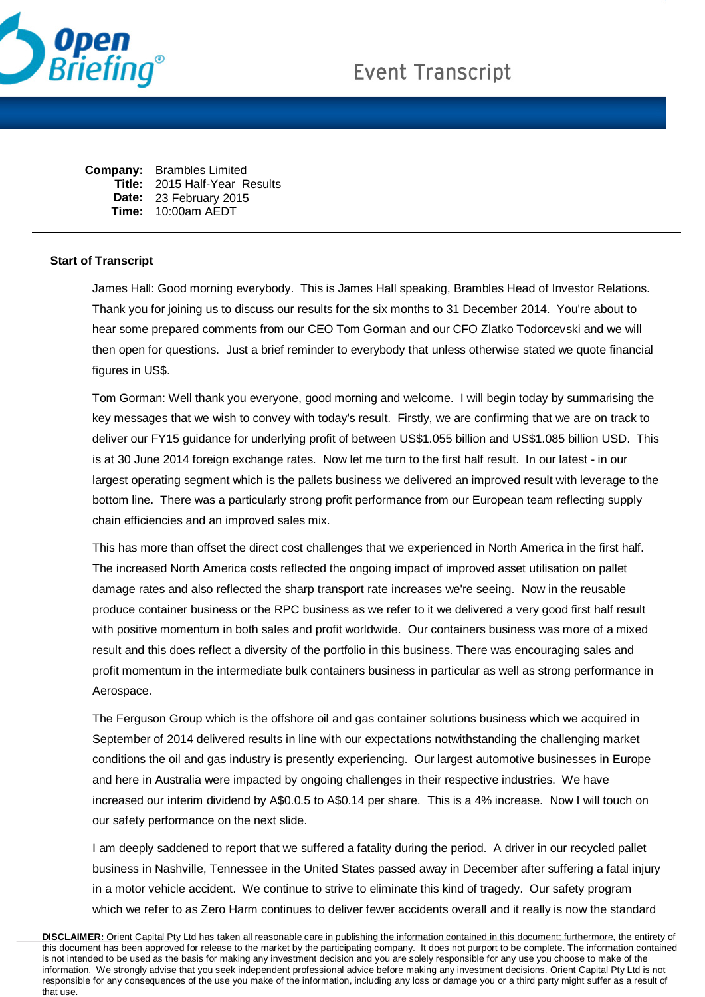

**Company:** Brambles Limited **Title:** 2015 Half-Year Results **Date:** 23 February 2015 **Time:** 10:00am AEDT

## **Start of Transcript**

James Hall: Good morning everybody. This is James Hall speaking, Brambles Head of Investor Relations. Thank you for joining us to discuss our results for the six months to 31 December 2014. You're about to hear some prepared comments from our CEO Tom Gorman and our CFO Zlatko Todorcevski and we will then open for questions. Just a brief reminder to everybody that unless otherwise stated we quote financial figures in US\$.

Tom Gorman: Well thank you everyone, good morning and welcome. I will begin today by summarising the key messages that we wish to convey with today's result. Firstly, we are confirming that we are on track to deliver our FY15 guidance for underlying profit of between US\$1.055 billion and US\$1.085 billion USD. This is at 30 June 2014 foreign exchange rates. Now let me turn to the first half result. In our latest - in our largest operating segment which is the pallets business we delivered an improved result with leverage to the bottom line. There was a particularly strong profit performance from our European team reflecting supply chain efficiencies and an improved sales mix.

This has more than offset the direct cost challenges that we experienced in North America in the first half. The increased North America costs reflected the ongoing impact of improved asset utilisation on pallet damage rates and also reflected the sharp transport rate increases we're seeing. Now in the reusable produce container business or the RPC business as we refer to it we delivered a very good first half result with positive momentum in both sales and profit worldwide. Our containers business was more of a mixed result and this does reflect a diversity of the portfolio in this business. There was encouraging sales and profit momentum in the intermediate bulk containers business in particular as well as strong performance in Aerospace.

The Ferguson Group which is the offshore oil and gas container solutions business which we acquired in September of 2014 delivered results in line with our expectations notwithstanding the challenging market conditions the oil and gas industry is presently experiencing. Our largest automotive businesses in Europe and here in Australia were impacted by ongoing challenges in their respective industries. We have increased our interim dividend by A\$0.0.5 to A\$0.14 per share. This is a 4% increase. Now I will touch on our safety performance on the next slide.

I am deeply saddened to report that we suffered a fatality during the period. A driver in our recycled pallet business in Nashville, Tennessee in the United States passed away in December after suffering a fatal injury in a motor vehicle accident. We continue to strive to eliminate this kind of tragedy. Our safety program which we refer to as Zero Harm continues to deliver fewer accidents overall and it really is now the standard

**DISCLAIMER:** Orient Capital Pty Ltd has taken all reasonable care in publishing the information contained in this document; furthermore, the entirety of this document has been approved for release to the market by the participating company. It does not purport to be complete. The information contained is not intended to be used as the basis for making any investment decision and you are solely responsible for any use you choose to make of the information. We strongly advise that you seek independent professional advice before making any investment decisions. Orient Capital Pty Ltd is not responsible for any consequences of the use you make of the information, including any loss or damage you or a third party might suffer as a result of that use.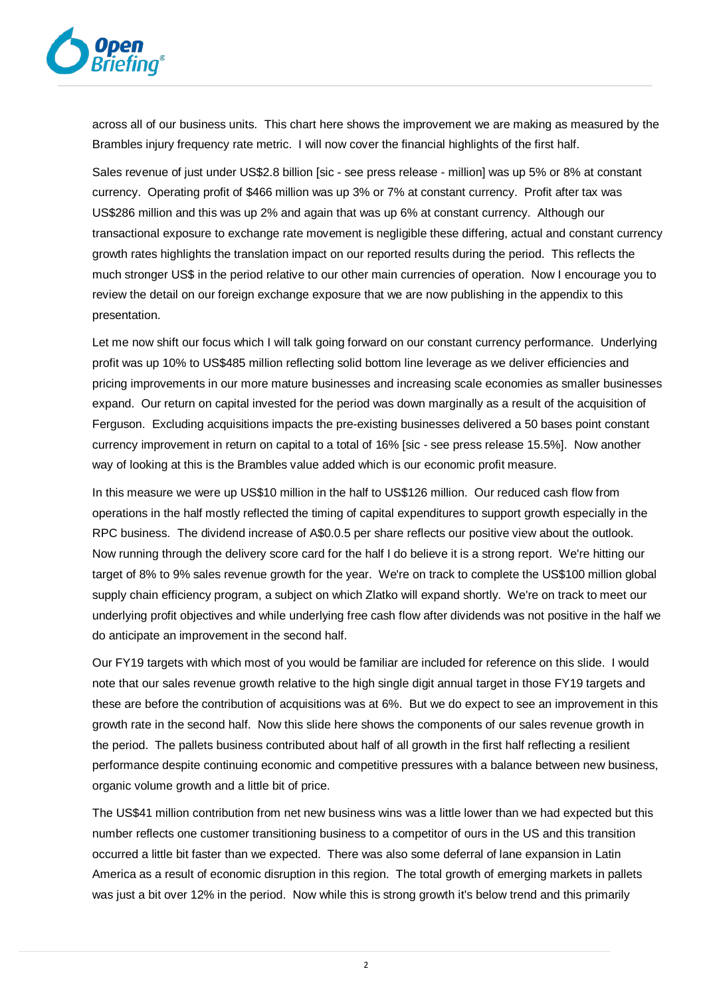

across all of our business units. This chart here shows the improvement we are making as measured by the Brambles injury frequency rate metric. I will now cover the financial highlights of the first half.

Sales revenue of just under US\$2.8 billion [sic - see press release - million] was up 5% or 8% at constant currency. Operating profit of \$466 million was up 3% or 7% at constant currency. Profit after tax was US\$286 million and this was up 2% and again that was up 6% at constant currency. Although our transactional exposure to exchange rate movement is negligible these differing, actual and constant currency growth rates highlights the translation impact on our reported results during the period. This reflects the much stronger US\$ in the period relative to our other main currencies of operation. Now I encourage you to review the detail on our foreign exchange exposure that we are now publishing in the appendix to this presentation.

Let me now shift our focus which I will talk going forward on our constant currency performance. Underlying profit was up 10% to US\$485 million reflecting solid bottom line leverage as we deliver efficiencies and pricing improvements in our more mature businesses and increasing scale economies as smaller businesses expand. Our return on capital invested for the period was down marginally as a result of the acquisition of Ferguson. Excluding acquisitions impacts the pre-existing businesses delivered a 50 bases point constant currency improvement in return on capital to a total of 16% [sic - see press release 15.5%]. Now another way of looking at this is the Brambles value added which is our economic profit measure.

In this measure we were up US\$10 million in the half to US\$126 million. Our reduced cash flow from operations in the half mostly reflected the timing of capital expenditures to support growth especially in the RPC business. The dividend increase of A\$0.0.5 per share reflects our positive view about the outlook. Now running through the delivery score card for the half I do believe it is a strong report. We're hitting our target of 8% to 9% sales revenue growth for the year. We're on track to complete the US\$100 million global supply chain efficiency program, a subject on which Zlatko will expand shortly. We're on track to meet our underlying profit objectives and while underlying free cash flow after dividends was not positive in the half we do anticipate an improvement in the second half.

Our FY19 targets with which most of you would be familiar are included for reference on this slide. I would note that our sales revenue growth relative to the high single digit annual target in those FY19 targets and these are before the contribution of acquisitions was at 6%. But we do expect to see an improvement in this growth rate in the second half. Now this slide here shows the components of our sales revenue growth in the period. The pallets business contributed about half of all growth in the first half reflecting a resilient performance despite continuing economic and competitive pressures with a balance between new business, organic volume growth and a little bit of price.

The US\$41 million contribution from net new business wins was a little lower than we had expected but this number reflects one customer transitioning business to a competitor of ours in the US and this transition occurred a little bit faster than we expected. There was also some deferral of lane expansion in Latin America as a result of economic disruption in this region. The total growth of emerging markets in pallets was just a bit over 12% in the period. Now while this is strong growth it's below trend and this primarily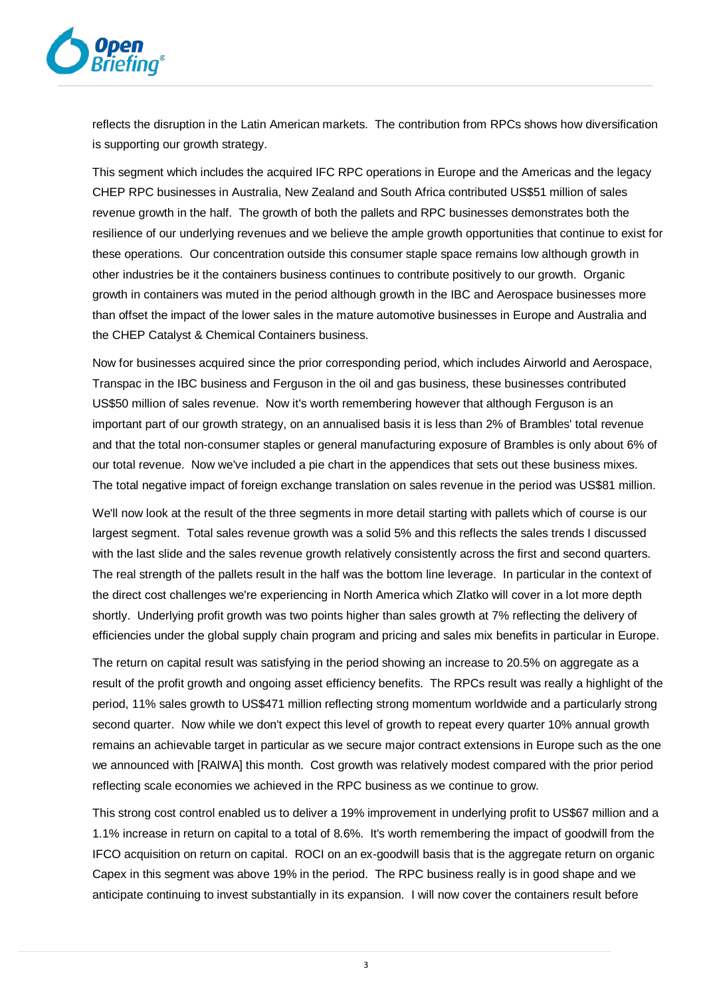

reflects the disruption in the Latin American markets. The contribution from RPCs shows how diversification is supporting our growth strategy.

This segment which includes the acquired IFC RPC operations in Europe and the Americas and the legacy CHEP RPC businesses in Australia, New Zealand and South Africa contributed US\$51 million of sales revenue growth in the half. The growth of both the pallets and RPC businesses demonstrates both the resilience of our underlying revenues and we believe the ample growth opportunities that continue to exist for these operations. Our concentration outside this consumer staple space remains low although growth in other industries be it the containers business continues to contribute positively to our growth. Organic growth in containers was muted in the period although growth in the IBC and Aerospace businesses more than offset the impact of the lower sales in the mature automotive businesses in Europe and Australia and the CHEP Catalyst & Chemical Containers business.

Now for businesses acquired since the prior corresponding period, which includes Airworld and Aerospace, Transpac in the IBC business and Ferguson in the oil and gas business, these businesses contributed US\$50 million of sales revenue. Now it's worth remembering however that although Ferguson is an important part of our growth strategy, on an annualised basis it is less than 2% of Brambles' total revenue and that the total non-consumer staples or general manufacturing exposure of Brambles is only about 6% of our total revenue. Now we've included a pie chart in the appendices that sets out these business mixes. The total negative impact of foreign exchange translation on sales revenue in the period was US\$81 million.

We'll now look at the result of the three segments in more detail starting with pallets which of course is our largest segment. Total sales revenue growth was a solid 5% and this reflects the sales trends I discussed with the last slide and the sales revenue growth relatively consistently across the first and second quarters. The real strength of the pallets result in the half was the bottom line leverage. In particular in the context of the direct cost challenges we're experiencing in North America which Zlatko will cover in a lot more depth shortly. Underlying profit growth was two points higher than sales growth at 7% reflecting the delivery of efficiencies under the global supply chain program and pricing and sales mix benefits in particular in Europe.

The return on capital result was satisfying in the period showing an increase to 20.5% on aggregate as a result of the profit growth and ongoing asset efficiency benefits. The RPCs result was really a highlight of the period, 11% sales growth to US\$471 million reflecting strong momentum worldwide and a particularly strong second quarter. Now while we don't expect this level of growth to repeat every quarter 10% annual growth remains an achievable target in particular as we secure major contract extensions in Europe such as the one we announced with [RAIWA] this month. Cost growth was relatively modest compared with the prior period reflecting scale economies we achieved in the RPC business as we continue to grow.

This strong cost control enabled us to deliver a 19% improvement in underlying profit to US\$67 million and a 1.1% increase in return on capital to a total of 8.6%. It's worth remembering the impact of goodwill from the IFCO acquisition on return on capital. ROCI on an ex-goodwill basis that is the aggregate return on organic Capex in this segment was above 19% in the period. The RPC business really is in good shape and we anticipate continuing to invest substantially in its expansion. I will now cover the containers result before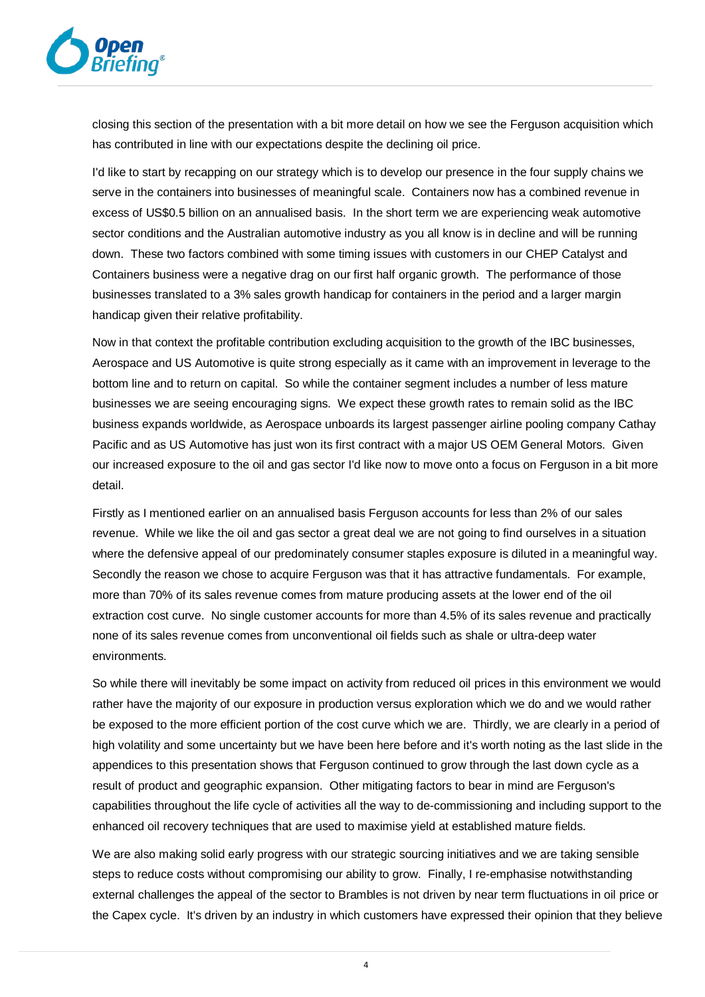

closing this section of the presentation with a bit more detail on how we see the Ferguson acquisition which has contributed in line with our expectations despite the declining oil price.

I'd like to start by recapping on our strategy which is to develop our presence in the four supply chains we serve in the containers into businesses of meaningful scale. Containers now has a combined revenue in excess of US\$0.5 billion on an annualised basis. In the short term we are experiencing weak automotive sector conditions and the Australian automotive industry as you all know is in decline and will be running down. These two factors combined with some timing issues with customers in our CHEP Catalyst and Containers business were a negative drag on our first half organic growth. The performance of those businesses translated to a 3% sales growth handicap for containers in the period and a larger margin handicap given their relative profitability.

Now in that context the profitable contribution excluding acquisition to the growth of the IBC businesses, Aerospace and US Automotive is quite strong especially as it came with an improvement in leverage to the bottom line and to return on capital. So while the container segment includes a number of less mature businesses we are seeing encouraging signs. We expect these growth rates to remain solid as the IBC business expands worldwide, as Aerospace unboards its largest passenger airline pooling company Cathay Pacific and as US Automotive has just won its first contract with a major US OEM General Motors. Given our increased exposure to the oil and gas sector I'd like now to move onto a focus on Ferguson in a bit more detail.

Firstly as I mentioned earlier on an annualised basis Ferguson accounts for less than 2% of our sales revenue. While we like the oil and gas sector a great deal we are not going to find ourselves in a situation where the defensive appeal of our predominately consumer staples exposure is diluted in a meaningful way. Secondly the reason we chose to acquire Ferguson was that it has attractive fundamentals. For example, more than 70% of its sales revenue comes from mature producing assets at the lower end of the oil extraction cost curve. No single customer accounts for more than 4.5% of its sales revenue and practically none of its sales revenue comes from unconventional oil fields such as shale or ultra-deep water environments.

So while there will inevitably be some impact on activity from reduced oil prices in this environment we would rather have the majority of our exposure in production versus exploration which we do and we would rather be exposed to the more efficient portion of the cost curve which we are. Thirdly, we are clearly in a period of high volatility and some uncertainty but we have been here before and it's worth noting as the last slide in the appendices to this presentation shows that Ferguson continued to grow through the last down cycle as a result of product and geographic expansion. Other mitigating factors to bear in mind are Ferguson's capabilities throughout the life cycle of activities all the way to de-commissioning and including support to the enhanced oil recovery techniques that are used to maximise yield at established mature fields.

We are also making solid early progress with our strategic sourcing initiatives and we are taking sensible steps to reduce costs without compromising our ability to grow. Finally, I re-emphasise notwithstanding external challenges the appeal of the sector to Brambles is not driven by near term fluctuations in oil price or the Capex cycle. It's driven by an industry in which customers have expressed their opinion that they believe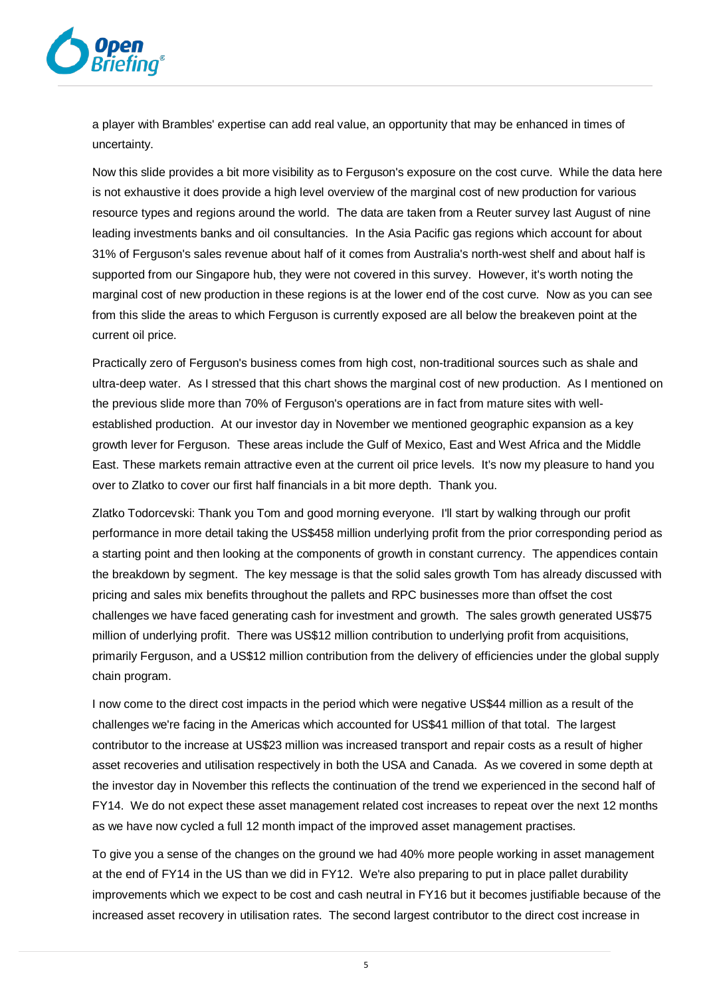

a player with Brambles' expertise can add real value, an opportunity that may be enhanced in times of uncertainty.

Now this slide provides a bit more visibility as to Ferguson's exposure on the cost curve. While the data here is not exhaustive it does provide a high level overview of the marginal cost of new production for various resource types and regions around the world. The data are taken from a Reuter survey last August of nine leading investments banks and oil consultancies. In the Asia Pacific gas regions which account for about 31% of Ferguson's sales revenue about half of it comes from Australia's north-west shelf and about half is supported from our Singapore hub, they were not covered in this survey. However, it's worth noting the marginal cost of new production in these regions is at the lower end of the cost curve. Now as you can see from this slide the areas to which Ferguson is currently exposed are all below the breakeven point at the current oil price.

Practically zero of Ferguson's business comes from high cost, non-traditional sources such as shale and ultra-deep water. As I stressed that this chart shows the marginal cost of new production. As I mentioned on the previous slide more than 70% of Ferguson's operations are in fact from mature sites with wellestablished production. At our investor day in November we mentioned geographic expansion as a key growth lever for Ferguson. These areas include the Gulf of Mexico, East and West Africa and the Middle East. These markets remain attractive even at the current oil price levels. It's now my pleasure to hand you over to Zlatko to cover our first half financials in a bit more depth. Thank you.

Zlatko Todorcevski: Thank you Tom and good morning everyone. I'll start by walking through our profit performance in more detail taking the US\$458 million underlying profit from the prior corresponding period as a starting point and then looking at the components of growth in constant currency. The appendices contain the breakdown by segment. The key message is that the solid sales growth Tom has already discussed with pricing and sales mix benefits throughout the pallets and RPC businesses more than offset the cost challenges we have faced generating cash for investment and growth. The sales growth generated US\$75 million of underlying profit. There was US\$12 million contribution to underlying profit from acquisitions, primarily Ferguson, and a US\$12 million contribution from the delivery of efficiencies under the global supply chain program.

I now come to the direct cost impacts in the period which were negative US\$44 million as a result of the challenges we're facing in the Americas which accounted for US\$41 million of that total. The largest contributor to the increase at US\$23 million was increased transport and repair costs as a result of higher asset recoveries and utilisation respectively in both the USA and Canada. As we covered in some depth at the investor day in November this reflects the continuation of the trend we experienced in the second half of FY14. We do not expect these asset management related cost increases to repeat over the next 12 months as we have now cycled a full 12 month impact of the improved asset management practises.

To give you a sense of the changes on the ground we had 40% more people working in asset management at the end of FY14 in the US than we did in FY12. We're also preparing to put in place pallet durability improvements which we expect to be cost and cash neutral in FY16 but it becomes justifiable because of the increased asset recovery in utilisation rates. The second largest contributor to the direct cost increase in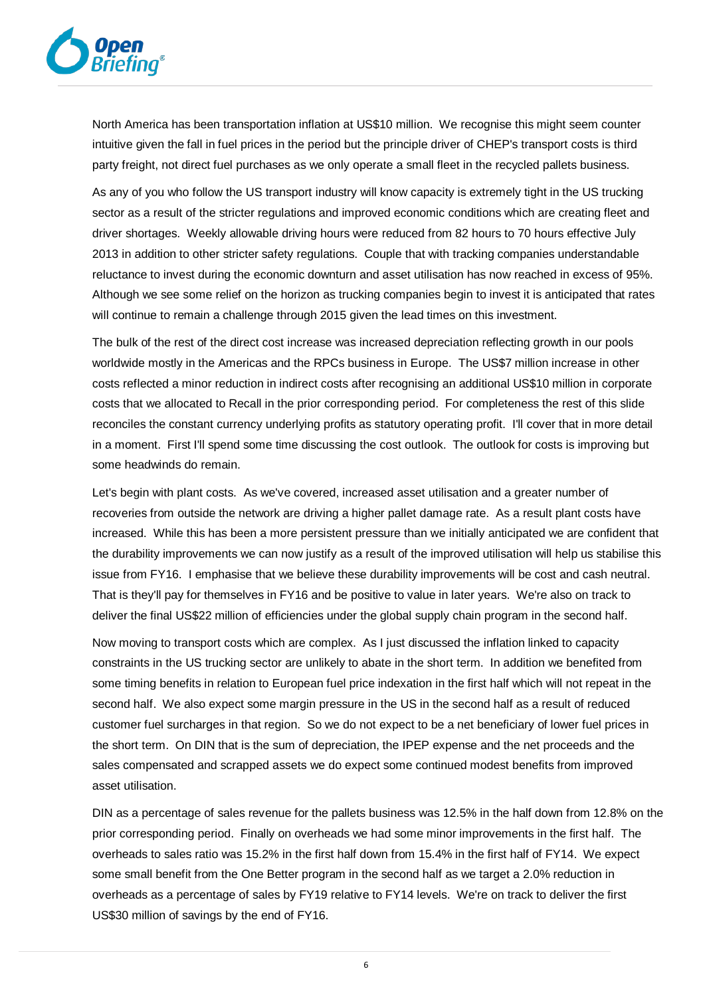

North America has been transportation inflation at US\$10 million. We recognise this might seem counter intuitive given the fall in fuel prices in the period but the principle driver of CHEP's transport costs is third party freight, not direct fuel purchases as we only operate a small fleet in the recycled pallets business.

As any of you who follow the US transport industry will know capacity is extremely tight in the US trucking sector as a result of the stricter regulations and improved economic conditions which are creating fleet and driver shortages. Weekly allowable driving hours were reduced from 82 hours to 70 hours effective July 2013 in addition to other stricter safety regulations. Couple that with tracking companies understandable reluctance to invest during the economic downturn and asset utilisation has now reached in excess of 95%. Although we see some relief on the horizon as trucking companies begin to invest it is anticipated that rates will continue to remain a challenge through 2015 given the lead times on this investment.

The bulk of the rest of the direct cost increase was increased depreciation reflecting growth in our pools worldwide mostly in the Americas and the RPCs business in Europe. The US\$7 million increase in other costs reflected a minor reduction in indirect costs after recognising an additional US\$10 million in corporate costs that we allocated to Recall in the prior corresponding period. For completeness the rest of this slide reconciles the constant currency underlying profits as statutory operating profit. I'll cover that in more detail in a moment. First I'll spend some time discussing the cost outlook. The outlook for costs is improving but some headwinds do remain.

Let's begin with plant costs. As we've covered, increased asset utilisation and a greater number of recoveries from outside the network are driving a higher pallet damage rate. As a result plant costs have increased. While this has been a more persistent pressure than we initially anticipated we are confident that the durability improvements we can now justify as a result of the improved utilisation will help us stabilise this issue from FY16. I emphasise that we believe these durability improvements will be cost and cash neutral. That is they'll pay for themselves in FY16 and be positive to value in later years. We're also on track to deliver the final US\$22 million of efficiencies under the global supply chain program in the second half.

Now moving to transport costs which are complex. As I just discussed the inflation linked to capacity constraints in the US trucking sector are unlikely to abate in the short term. In addition we benefited from some timing benefits in relation to European fuel price indexation in the first half which will not repeat in the second half. We also expect some margin pressure in the US in the second half as a result of reduced customer fuel surcharges in that region. So we do not expect to be a net beneficiary of lower fuel prices in the short term. On DIN that is the sum of depreciation, the IPEP expense and the net proceeds and the sales compensated and scrapped assets we do expect some continued modest benefits from improved asset utilisation.

DIN as a percentage of sales revenue for the pallets business was 12.5% in the half down from 12.8% on the prior corresponding period. Finally on overheads we had some minor improvements in the first half. The overheads to sales ratio was 15.2% in the first half down from 15.4% in the first half of FY14. We expect some small benefit from the One Better program in the second half as we target a 2.0% reduction in overheads as a percentage of sales by FY19 relative to FY14 levels. We're on track to deliver the first US\$30 million of savings by the end of FY16.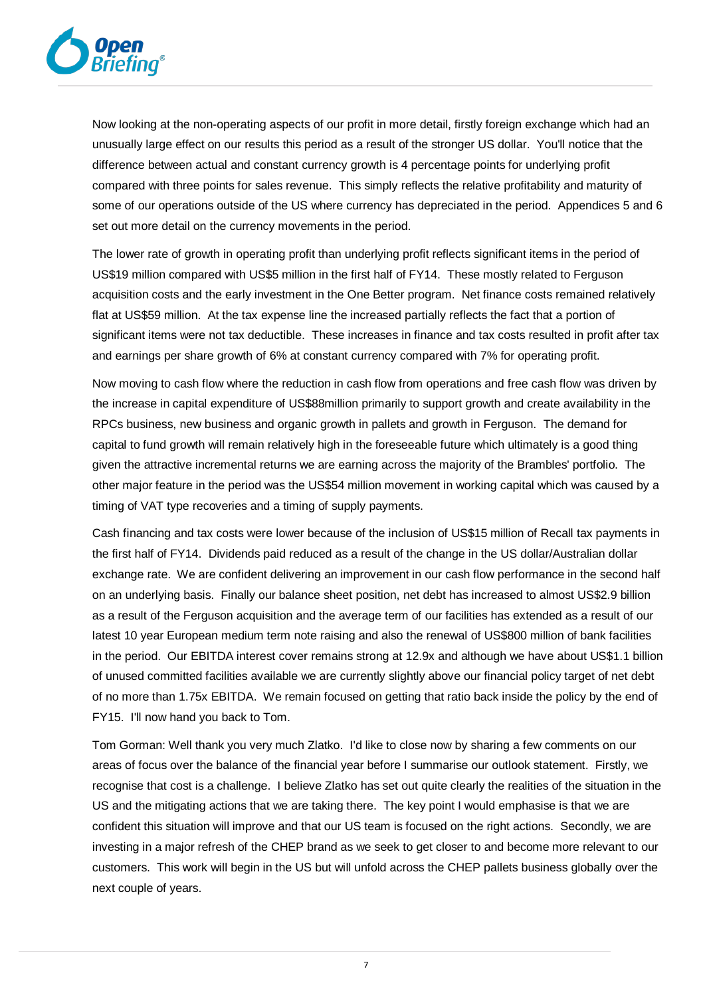

Now looking at the non-operating aspects of our profit in more detail, firstly foreign exchange which had an unusually large effect on our results this period as a result of the stronger US dollar. You'll notice that the difference between actual and constant currency growth is 4 percentage points for underlying profit compared with three points for sales revenue. This simply reflects the relative profitability and maturity of some of our operations outside of the US where currency has depreciated in the period. Appendices 5 and 6 set out more detail on the currency movements in the period.

The lower rate of growth in operating profit than underlying profit reflects significant items in the period of US\$19 million compared with US\$5 million in the first half of FY14. These mostly related to Ferguson acquisition costs and the early investment in the One Better program. Net finance costs remained relatively flat at US\$59 million. At the tax expense line the increased partially reflects the fact that a portion of significant items were not tax deductible. These increases in finance and tax costs resulted in profit after tax and earnings per share growth of 6% at constant currency compared with 7% for operating profit.

Now moving to cash flow where the reduction in cash flow from operations and free cash flow was driven by the increase in capital expenditure of US\$88million primarily to support growth and create availability in the RPCs business, new business and organic growth in pallets and growth in Ferguson. The demand for capital to fund growth will remain relatively high in the foreseeable future which ultimately is a good thing given the attractive incremental returns we are earning across the majority of the Brambles' portfolio. The other major feature in the period was the US\$54 million movement in working capital which was caused by a timing of VAT type recoveries and a timing of supply payments.

Cash financing and tax costs were lower because of the inclusion of US\$15 million of Recall tax payments in the first half of FY14. Dividends paid reduced as a result of the change in the US dollar/Australian dollar exchange rate. We are confident delivering an improvement in our cash flow performance in the second half on an underlying basis. Finally our balance sheet position, net debt has increased to almost US\$2.9 billion as a result of the Ferguson acquisition and the average term of our facilities has extended as a result of our latest 10 year European medium term note raising and also the renewal of US\$800 million of bank facilities in the period. Our EBITDA interest cover remains strong at 12.9x and although we have about US\$1.1 billion of unused committed facilities available we are currently slightly above our financial policy target of net debt of no more than 1.75x EBITDA. We remain focused on getting that ratio back inside the policy by the end of FY15. I'll now hand you back to Tom.

Tom Gorman: Well thank you very much Zlatko. I'd like to close now by sharing a few comments on our areas of focus over the balance of the financial year before I summarise our outlook statement. Firstly, we recognise that cost is a challenge. I believe Zlatko has set out quite clearly the realities of the situation in the US and the mitigating actions that we are taking there. The key point I would emphasise is that we are confident this situation will improve and that our US team is focused on the right actions. Secondly, we are investing in a major refresh of the CHEP brand as we seek to get closer to and become more relevant to our customers. This work will begin in the US but will unfold across the CHEP pallets business globally over the next couple of years.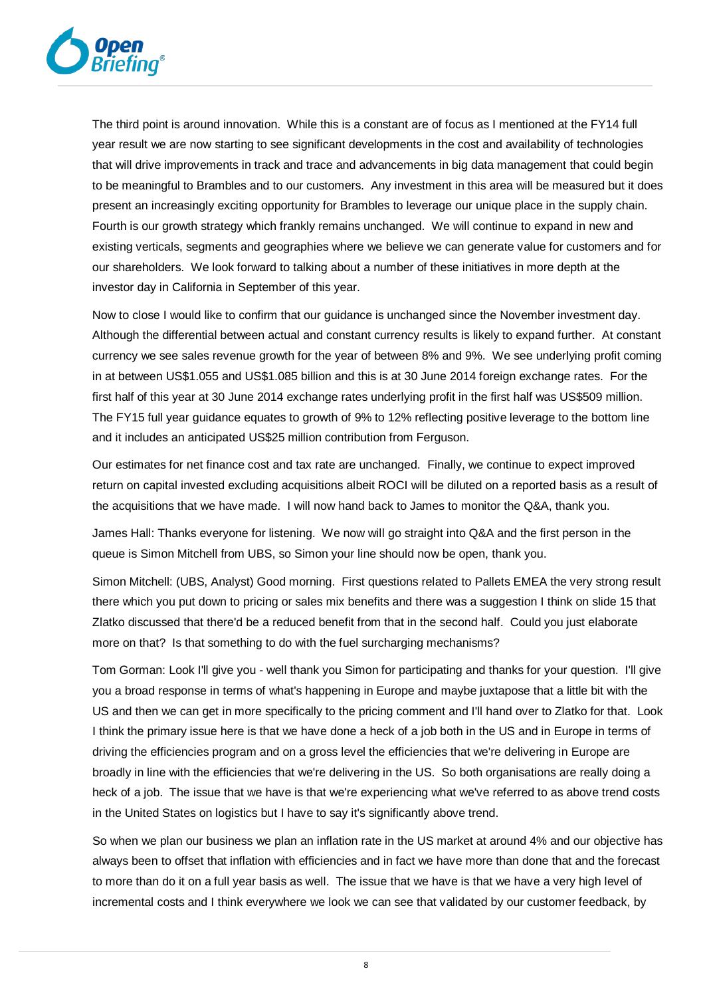

The third point is around innovation. While this is a constant are of focus as I mentioned at the FY14 full year result we are now starting to see significant developments in the cost and availability of technologies that will drive improvements in track and trace and advancements in big data management that could begin to be meaningful to Brambles and to our customers. Any investment in this area will be measured but it does present an increasingly exciting opportunity for Brambles to leverage our unique place in the supply chain. Fourth is our growth strategy which frankly remains unchanged. We will continue to expand in new and existing verticals, segments and geographies where we believe we can generate value for customers and for our shareholders. We look forward to talking about a number of these initiatives in more depth at the investor day in California in September of this year.

Now to close I would like to confirm that our guidance is unchanged since the November investment day. Although the differential between actual and constant currency results is likely to expand further. At constant currency we see sales revenue growth for the year of between 8% and 9%. We see underlying profit coming in at between US\$1.055 and US\$1.085 billion and this is at 30 June 2014 foreign exchange rates. For the first half of this year at 30 June 2014 exchange rates underlying profit in the first half was US\$509 million. The FY15 full year guidance equates to growth of 9% to 12% reflecting positive leverage to the bottom line and it includes an anticipated US\$25 million contribution from Ferguson.

Our estimates for net finance cost and tax rate are unchanged. Finally, we continue to expect improved return on capital invested excluding acquisitions albeit ROCI will be diluted on a reported basis as a result of the acquisitions that we have made. I will now hand back to James to monitor the Q&A, thank you.

James Hall: Thanks everyone for listening. We now will go straight into Q&A and the first person in the queue is Simon Mitchell from UBS, so Simon your line should now be open, thank you.

Simon Mitchell: (UBS, Analyst) Good morning. First questions related to Pallets EMEA the very strong result there which you put down to pricing or sales mix benefits and there was a suggestion I think on slide 15 that Zlatko discussed that there'd be a reduced benefit from that in the second half. Could you just elaborate more on that? Is that something to do with the fuel surcharging mechanisms?

Tom Gorman: Look I'll give you - well thank you Simon for participating and thanks for your question. I'll give you a broad response in terms of what's happening in Europe and maybe juxtapose that a little bit with the US and then we can get in more specifically to the pricing comment and I'll hand over to Zlatko for that. Look I think the primary issue here is that we have done a heck of a job both in the US and in Europe in terms of driving the efficiencies program and on a gross level the efficiencies that we're delivering in Europe are broadly in line with the efficiencies that we're delivering in the US. So both organisations are really doing a heck of a job. The issue that we have is that we're experiencing what we've referred to as above trend costs in the United States on logistics but I have to say it's significantly above trend.

So when we plan our business we plan an inflation rate in the US market at around 4% and our objective has always been to offset that inflation with efficiencies and in fact we have more than done that and the forecast to more than do it on a full year basis as well. The issue that we have is that we have a very high level of incremental costs and I think everywhere we look we can see that validated by our customer feedback, by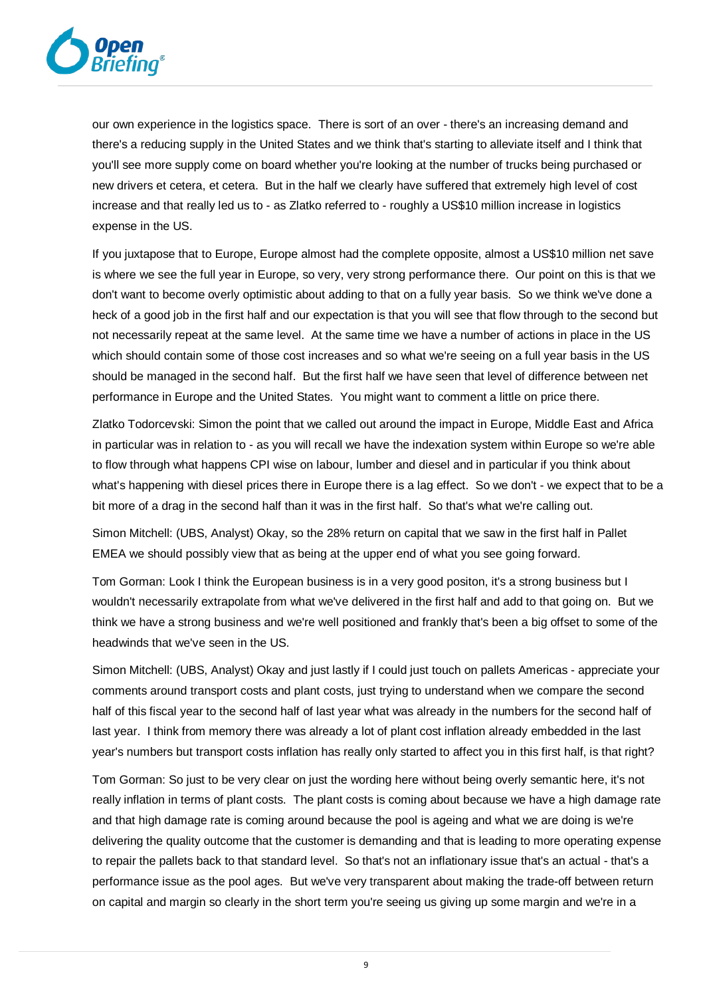

our own experience in the logistics space. There is sort of an over - there's an increasing demand and there's a reducing supply in the United States and we think that's starting to alleviate itself and I think that you'll see more supply come on board whether you're looking at the number of trucks being purchased or new drivers et cetera, et cetera. But in the half we clearly have suffered that extremely high level of cost increase and that really led us to - as Zlatko referred to - roughly a US\$10 million increase in logistics expense in the US.

If you juxtapose that to Europe, Europe almost had the complete opposite, almost a US\$10 million net save is where we see the full year in Europe, so very, very strong performance there. Our point on this is that we don't want to become overly optimistic about adding to that on a fully year basis. So we think we've done a heck of a good job in the first half and our expectation is that you will see that flow through to the second but not necessarily repeat at the same level. At the same time we have a number of actions in place in the US which should contain some of those cost increases and so what we're seeing on a full year basis in the US should be managed in the second half. But the first half we have seen that level of difference between net performance in Europe and the United States. You might want to comment a little on price there.

Zlatko Todorcevski: Simon the point that we called out around the impact in Europe, Middle East and Africa in particular was in relation to - as you will recall we have the indexation system within Europe so we're able to flow through what happens CPI wise on labour, lumber and diesel and in particular if you think about what's happening with diesel prices there in Europe there is a lag effect. So we don't - we expect that to be a bit more of a drag in the second half than it was in the first half. So that's what we're calling out.

Simon Mitchell: (UBS, Analyst) Okay, so the 28% return on capital that we saw in the first half in Pallet EMEA we should possibly view that as being at the upper end of what you see going forward.

Tom Gorman: Look I think the European business is in a very good positon, it's a strong business but I wouldn't necessarily extrapolate from what we've delivered in the first half and add to that going on. But we think we have a strong business and we're well positioned and frankly that's been a big offset to some of the headwinds that we've seen in the US.

Simon Mitchell: (UBS, Analyst) Okay and just lastly if I could just touch on pallets Americas - appreciate your comments around transport costs and plant costs, just trying to understand when we compare the second half of this fiscal year to the second half of last year what was already in the numbers for the second half of last year. I think from memory there was already a lot of plant cost inflation already embedded in the last year's numbers but transport costs inflation has really only started to affect you in this first half, is that right?

Tom Gorman: So just to be very clear on just the wording here without being overly semantic here, it's not really inflation in terms of plant costs. The plant costs is coming about because we have a high damage rate and that high damage rate is coming around because the pool is ageing and what we are doing is we're delivering the quality outcome that the customer is demanding and that is leading to more operating expense to repair the pallets back to that standard level. So that's not an inflationary issue that's an actual - that's a performance issue as the pool ages. But we've very transparent about making the trade-off between return on capital and margin so clearly in the short term you're seeing us giving up some margin and we're in a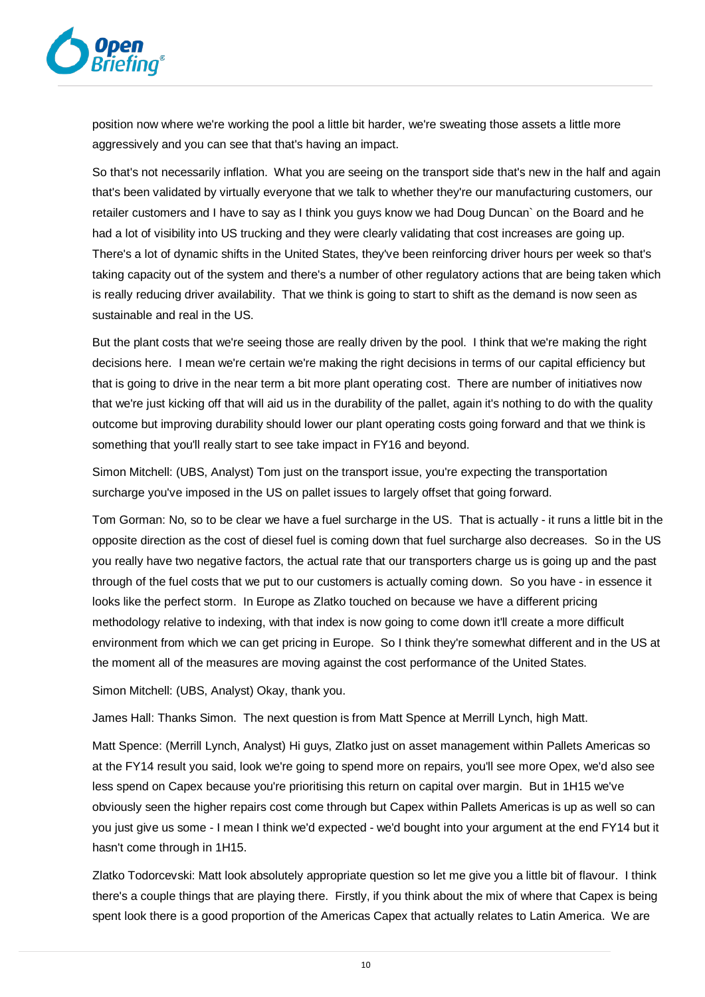

position now where we're working the pool a little bit harder, we're sweating those assets a little more aggressively and you can see that that's having an impact.

So that's not necessarily inflation. What you are seeing on the transport side that's new in the half and again that's been validated by virtually everyone that we talk to whether they're our manufacturing customers, our retailer customers and I have to say as I think you guys know we had Doug Duncan` on the Board and he had a lot of visibility into US trucking and they were clearly validating that cost increases are going up. There's a lot of dynamic shifts in the United States, they've been reinforcing driver hours per week so that's taking capacity out of the system and there's a number of other regulatory actions that are being taken which is really reducing driver availability. That we think is going to start to shift as the demand is now seen as sustainable and real in the US.

But the plant costs that we're seeing those are really driven by the pool. I think that we're making the right decisions here. I mean we're certain we're making the right decisions in terms of our capital efficiency but that is going to drive in the near term a bit more plant operating cost. There are number of initiatives now that we're just kicking off that will aid us in the durability of the pallet, again it's nothing to do with the quality outcome but improving durability should lower our plant operating costs going forward and that we think is something that you'll really start to see take impact in FY16 and beyond.

Simon Mitchell: (UBS, Analyst) Tom just on the transport issue, you're expecting the transportation surcharge you've imposed in the US on pallet issues to largely offset that going forward.

Tom Gorman: No, so to be clear we have a fuel surcharge in the US. That is actually - it runs a little bit in the opposite direction as the cost of diesel fuel is coming down that fuel surcharge also decreases. So in the US you really have two negative factors, the actual rate that our transporters charge us is going up and the past through of the fuel costs that we put to our customers is actually coming down. So you have - in essence it looks like the perfect storm. In Europe as Zlatko touched on because we have a different pricing methodology relative to indexing, with that index is now going to come down it'll create a more difficult environment from which we can get pricing in Europe. So I think they're somewhat different and in the US at the moment all of the measures are moving against the cost performance of the United States.

Simon Mitchell: (UBS, Analyst) Okay, thank you.

James Hall: Thanks Simon. The next question is from Matt Spence at Merrill Lynch, high Matt.

Matt Spence: (Merrill Lynch, Analyst) Hi guys, Zlatko just on asset management within Pallets Americas so at the FY14 result you said, look we're going to spend more on repairs, you'll see more Opex, we'd also see less spend on Capex because you're prioritising this return on capital over margin. But in 1H15 we've obviously seen the higher repairs cost come through but Capex within Pallets Americas is up as well so can you just give us some - I mean I think we'd expected - we'd bought into your argument at the end FY14 but it hasn't come through in 1H15.

Zlatko Todorcevski: Matt look absolutely appropriate question so let me give you a little bit of flavour. I think there's a couple things that are playing there. Firstly, if you think about the mix of where that Capex is being spent look there is a good proportion of the Americas Capex that actually relates to Latin America. We are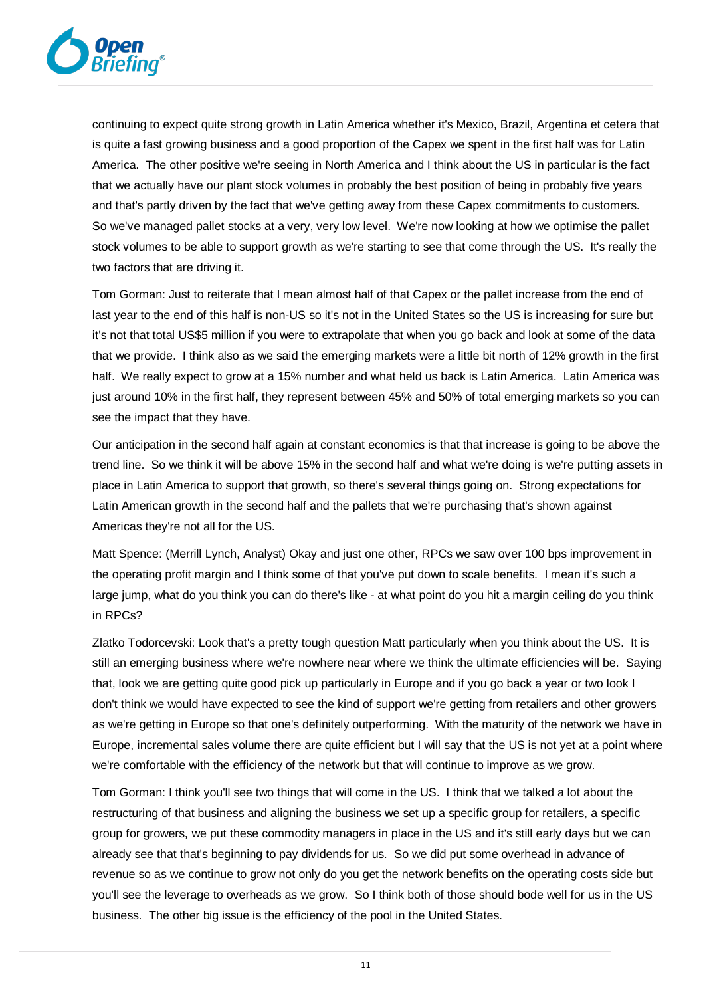

continuing to expect quite strong growth in Latin America whether it's Mexico, Brazil, Argentina et cetera that is quite a fast growing business and a good proportion of the Capex we spent in the first half was for Latin America. The other positive we're seeing in North America and I think about the US in particular is the fact that we actually have our plant stock volumes in probably the best position of being in probably five years and that's partly driven by the fact that we've getting away from these Capex commitments to customers. So we've managed pallet stocks at a very, very low level. We're now looking at how we optimise the pallet stock volumes to be able to support growth as we're starting to see that come through the US. It's really the two factors that are driving it.

Tom Gorman: Just to reiterate that I mean almost half of that Capex or the pallet increase from the end of last year to the end of this half is non-US so it's not in the United States so the US is increasing for sure but it's not that total US\$5 million if you were to extrapolate that when you go back and look at some of the data that we provide. I think also as we said the emerging markets were a little bit north of 12% growth in the first half. We really expect to grow at a 15% number and what held us back is Latin America. Latin America was just around 10% in the first half, they represent between 45% and 50% of total emerging markets so you can see the impact that they have.

Our anticipation in the second half again at constant economics is that that increase is going to be above the trend line. So we think it will be above 15% in the second half and what we're doing is we're putting assets in place in Latin America to support that growth, so there's several things going on. Strong expectations for Latin American growth in the second half and the pallets that we're purchasing that's shown against Americas they're not all for the US.

Matt Spence: (Merrill Lynch, Analyst) Okay and just one other, RPCs we saw over 100 bps improvement in the operating profit margin and I think some of that you've put down to scale benefits. I mean it's such a large jump, what do you think you can do there's like - at what point do you hit a margin ceiling do you think in RPCs?

Zlatko Todorcevski: Look that's a pretty tough question Matt particularly when you think about the US. It is still an emerging business where we're nowhere near where we think the ultimate efficiencies will be. Saying that, look we are getting quite good pick up particularly in Europe and if you go back a year or two look I don't think we would have expected to see the kind of support we're getting from retailers and other growers as we're getting in Europe so that one's definitely outperforming. With the maturity of the network we have in Europe, incremental sales volume there are quite efficient but I will say that the US is not yet at a point where we're comfortable with the efficiency of the network but that will continue to improve as we grow.

Tom Gorman: I think you'll see two things that will come in the US. I think that we talked a lot about the restructuring of that business and aligning the business we set up a specific group for retailers, a specific group for growers, we put these commodity managers in place in the US and it's still early days but we can already see that that's beginning to pay dividends for us. So we did put some overhead in advance of revenue so as we continue to grow not only do you get the network benefits on the operating costs side but you'll see the leverage to overheads as we grow. So I think both of those should bode well for us in the US business. The other big issue is the efficiency of the pool in the United States.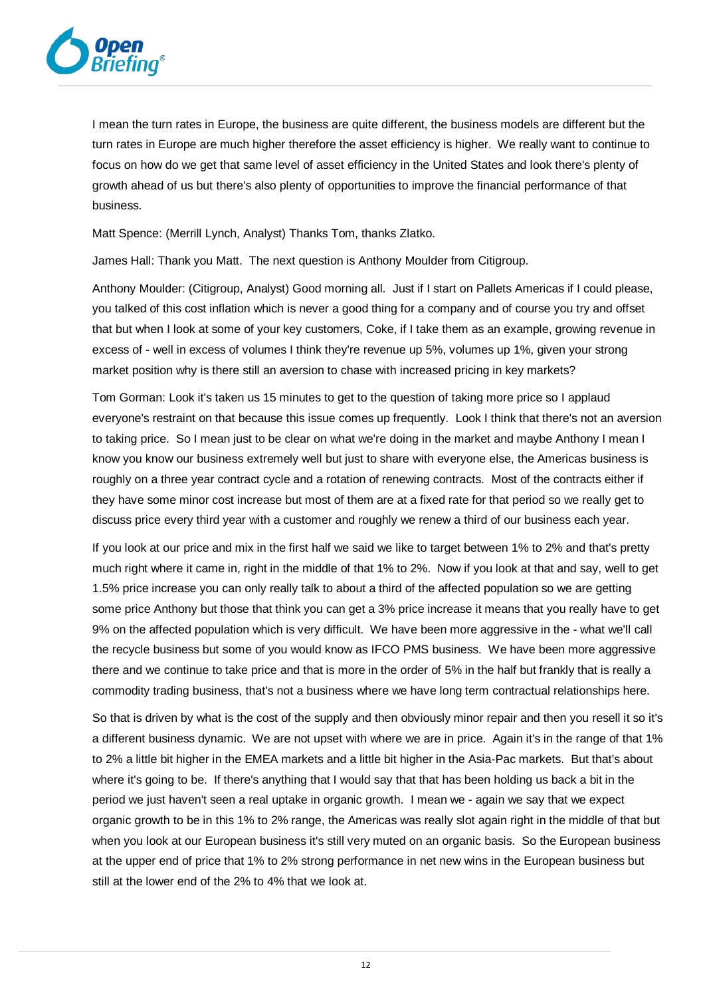

I mean the turn rates in Europe, the business are quite different, the business models are different but the turn rates in Europe are much higher therefore the asset efficiency is higher. We really want to continue to focus on how do we get that same level of asset efficiency in the United States and look there's plenty of growth ahead of us but there's also plenty of opportunities to improve the financial performance of that business.

Matt Spence: (Merrill Lynch, Analyst) Thanks Tom, thanks Zlatko.

James Hall: Thank you Matt. The next question is Anthony Moulder from Citigroup.

Anthony Moulder: (Citigroup, Analyst) Good morning all. Just if I start on Pallets Americas if I could please, you talked of this cost inflation which is never a good thing for a company and of course you try and offset that but when I look at some of your key customers, Coke, if I take them as an example, growing revenue in excess of - well in excess of volumes I think they're revenue up 5%, volumes up 1%, given your strong market position why is there still an aversion to chase with increased pricing in key markets?

Tom Gorman: Look it's taken us 15 minutes to get to the question of taking more price so I applaud everyone's restraint on that because this issue comes up frequently. Look I think that there's not an aversion to taking price. So I mean just to be clear on what we're doing in the market and maybe Anthony I mean I know you know our business extremely well but just to share with everyone else, the Americas business is roughly on a three year contract cycle and a rotation of renewing contracts. Most of the contracts either if they have some minor cost increase but most of them are at a fixed rate for that period so we really get to discuss price every third year with a customer and roughly we renew a third of our business each year.

If you look at our price and mix in the first half we said we like to target between 1% to 2% and that's pretty much right where it came in, right in the middle of that 1% to 2%. Now if you look at that and say, well to get 1.5% price increase you can only really talk to about a third of the affected population so we are getting some price Anthony but those that think you can get a 3% price increase it means that you really have to get 9% on the affected population which is very difficult. We have been more aggressive in the - what we'll call the recycle business but some of you would know as IFCO PMS business. We have been more aggressive there and we continue to take price and that is more in the order of 5% in the half but frankly that is really a commodity trading business, that's not a business where we have long term contractual relationships here.

So that is driven by what is the cost of the supply and then obviously minor repair and then you resell it so it's a different business dynamic. We are not upset with where we are in price. Again it's in the range of that 1% to 2% a little bit higher in the EMEA markets and a little bit higher in the Asia-Pac markets. But that's about where it's going to be. If there's anything that I would say that that has been holding us back a bit in the period we just haven't seen a real uptake in organic growth. I mean we - again we say that we expect organic growth to be in this 1% to 2% range, the Americas was really slot again right in the middle of that but when you look at our European business it's still very muted on an organic basis. So the European business at the upper end of price that 1% to 2% strong performance in net new wins in the European business but still at the lower end of the 2% to 4% that we look at.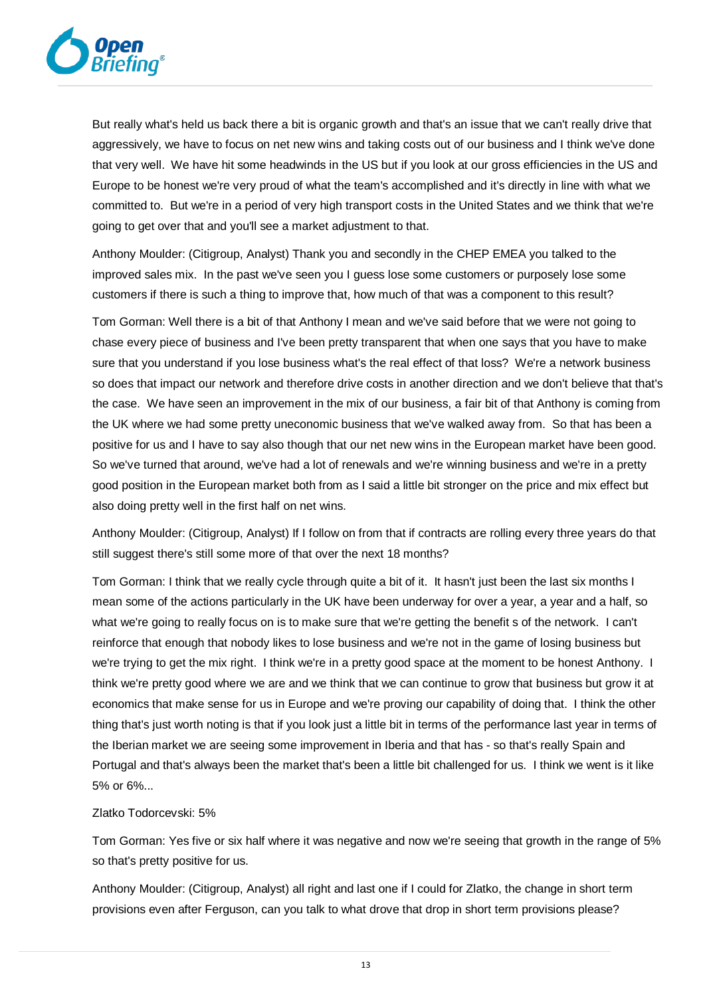

But really what's held us back there a bit is organic growth and that's an issue that we can't really drive that aggressively, we have to focus on net new wins and taking costs out of our business and I think we've done that very well. We have hit some headwinds in the US but if you look at our gross efficiencies in the US and Europe to be honest we're very proud of what the team's accomplished and it's directly in line with what we committed to. But we're in a period of very high transport costs in the United States and we think that we're going to get over that and you'll see a market adjustment to that.

Anthony Moulder: (Citigroup, Analyst) Thank you and secondly in the CHEP EMEA you talked to the improved sales mix. In the past we've seen you I guess lose some customers or purposely lose some customers if there is such a thing to improve that, how much of that was a component to this result?

Tom Gorman: Well there is a bit of that Anthony I mean and we've said before that we were not going to chase every piece of business and I've been pretty transparent that when one says that you have to make sure that you understand if you lose business what's the real effect of that loss? We're a network business so does that impact our network and therefore drive costs in another direction and we don't believe that that's the case. We have seen an improvement in the mix of our business, a fair bit of that Anthony is coming from the UK where we had some pretty uneconomic business that we've walked away from. So that has been a positive for us and I have to say also though that our net new wins in the European market have been good. So we've turned that around, we've had a lot of renewals and we're winning business and we're in a pretty good position in the European market both from as I said a little bit stronger on the price and mix effect but also doing pretty well in the first half on net wins.

Anthony Moulder: (Citigroup, Analyst) If I follow on from that if contracts are rolling every three years do that still suggest there's still some more of that over the next 18 months?

Tom Gorman: I think that we really cycle through quite a bit of it. It hasn't just been the last six months I mean some of the actions particularly in the UK have been underway for over a year, a year and a half, so what we're going to really focus on is to make sure that we're getting the benefit s of the network. I can't reinforce that enough that nobody likes to lose business and we're not in the game of losing business but we're trying to get the mix right. I think we're in a pretty good space at the moment to be honest Anthony. I think we're pretty good where we are and we think that we can continue to grow that business but grow it at economics that make sense for us in Europe and we're proving our capability of doing that. I think the other thing that's just worth noting is that if you look just a little bit in terms of the performance last year in terms of the Iberian market we are seeing some improvement in Iberia and that has - so that's really Spain and Portugal and that's always been the market that's been a little bit challenged for us. I think we went is it like 5% or 6%...

## Zlatko Todorcevski: 5%

Tom Gorman: Yes five or six half where it was negative and now we're seeing that growth in the range of 5% so that's pretty positive for us.

Anthony Moulder: (Citigroup, Analyst) all right and last one if I could for Zlatko, the change in short term provisions even after Ferguson, can you talk to what drove that drop in short term provisions please?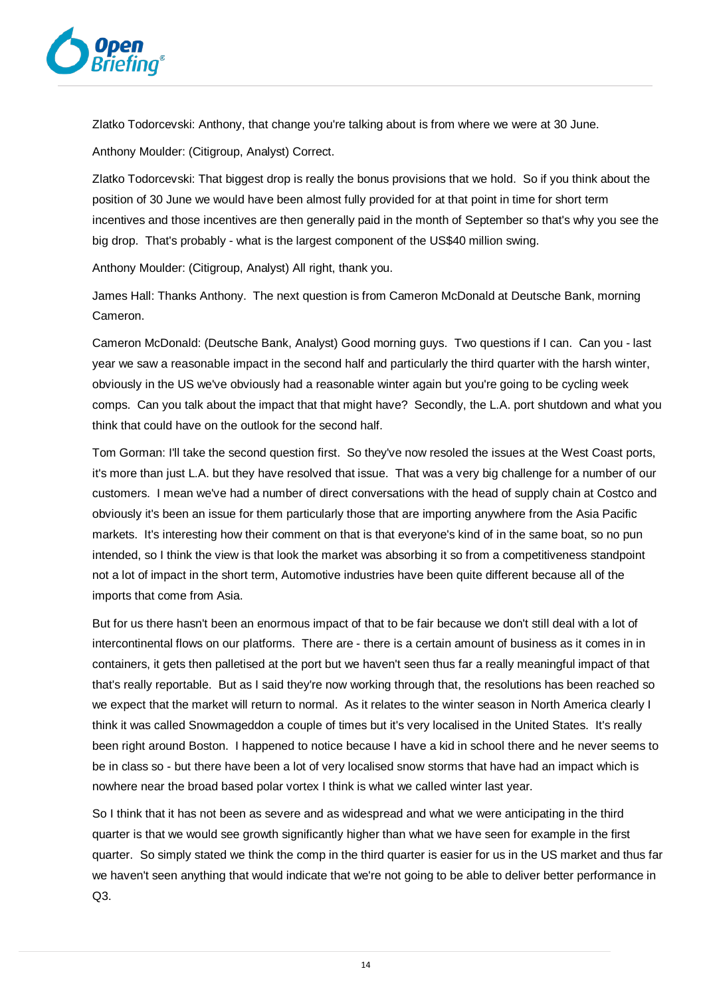

Zlatko Todorcevski: Anthony, that change you're talking about is from where we were at 30 June.

Anthony Moulder: (Citigroup, Analyst) Correct.

Zlatko Todorcevski: That biggest drop is really the bonus provisions that we hold. So if you think about the position of 30 June we would have been almost fully provided for at that point in time for short term incentives and those incentives are then generally paid in the month of September so that's why you see the big drop. That's probably - what is the largest component of the US\$40 million swing.

Anthony Moulder: (Citigroup, Analyst) All right, thank you.

James Hall: Thanks Anthony. The next question is from Cameron McDonald at Deutsche Bank, morning Cameron.

Cameron McDonald: (Deutsche Bank, Analyst) Good morning guys. Two questions if I can. Can you - last year we saw a reasonable impact in the second half and particularly the third quarter with the harsh winter, obviously in the US we've obviously had a reasonable winter again but you're going to be cycling week comps. Can you talk about the impact that that might have? Secondly, the L.A. port shutdown and what you think that could have on the outlook for the second half.

Tom Gorman: I'll take the second question first. So they've now resoled the issues at the West Coast ports, it's more than just L.A. but they have resolved that issue. That was a very big challenge for a number of our customers. I mean we've had a number of direct conversations with the head of supply chain at Costco and obviously it's been an issue for them particularly those that are importing anywhere from the Asia Pacific markets. It's interesting how their comment on that is that everyone's kind of in the same boat, so no pun intended, so I think the view is that look the market was absorbing it so from a competitiveness standpoint not a lot of impact in the short term, Automotive industries have been quite different because all of the imports that come from Asia.

But for us there hasn't been an enormous impact of that to be fair because we don't still deal with a lot of intercontinental flows on our platforms. There are - there is a certain amount of business as it comes in in containers, it gets then palletised at the port but we haven't seen thus far a really meaningful impact of that that's really reportable. But as I said they're now working through that, the resolutions has been reached so we expect that the market will return to normal. As it relates to the winter season in North America clearly I think it was called Snowmageddon a couple of times but it's very localised in the United States. It's really been right around Boston. I happened to notice because I have a kid in school there and he never seems to be in class so - but there have been a lot of very localised snow storms that have had an impact which is nowhere near the broad based polar vortex I think is what we called winter last year.

So I think that it has not been as severe and as widespread and what we were anticipating in the third quarter is that we would see growth significantly higher than what we have seen for example in the first quarter. So simply stated we think the comp in the third quarter is easier for us in the US market and thus far we haven't seen anything that would indicate that we're not going to be able to deliver better performance in Q3.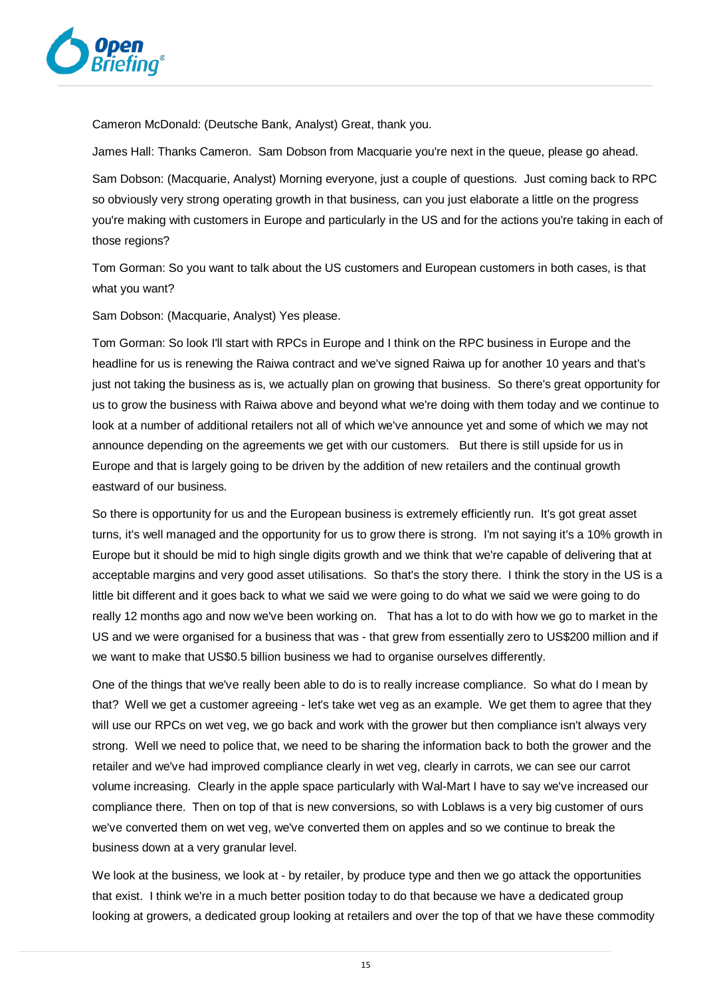

Cameron McDonald: (Deutsche Bank, Analyst) Great, thank you.

James Hall: Thanks Cameron. Sam Dobson from Macquarie you're next in the queue, please go ahead.

Sam Dobson: (Macquarie, Analyst) Morning everyone, just a couple of questions. Just coming back to RPC so obviously very strong operating growth in that business, can you just elaborate a little on the progress you're making with customers in Europe and particularly in the US and for the actions you're taking in each of those regions?

Tom Gorman: So you want to talk about the US customers and European customers in both cases, is that what you want?

Sam Dobson: (Macquarie, Analyst) Yes please.

Tom Gorman: So look I'll start with RPCs in Europe and I think on the RPC business in Europe and the headline for us is renewing the Raiwa contract and we've signed Raiwa up for another 10 years and that's just not taking the business as is, we actually plan on growing that business. So there's great opportunity for us to grow the business with Raiwa above and beyond what we're doing with them today and we continue to look at a number of additional retailers not all of which we've announce yet and some of which we may not announce depending on the agreements we get with our customers. But there is still upside for us in Europe and that is largely going to be driven by the addition of new retailers and the continual growth eastward of our business.

So there is opportunity for us and the European business is extremely efficiently run. It's got great asset turns, it's well managed and the opportunity for us to grow there is strong. I'm not saying it's a 10% growth in Europe but it should be mid to high single digits growth and we think that we're capable of delivering that at acceptable margins and very good asset utilisations. So that's the story there. I think the story in the US is a little bit different and it goes back to what we said we were going to do what we said we were going to do really 12 months ago and now we've been working on. That has a lot to do with how we go to market in the US and we were organised for a business that was - that grew from essentially zero to US\$200 million and if we want to make that US\$0.5 billion business we had to organise ourselves differently.

One of the things that we've really been able to do is to really increase compliance. So what do I mean by that? Well we get a customer agreeing - let's take wet veg as an example. We get them to agree that they will use our RPCs on wet veg, we go back and work with the grower but then compliance isn't always very strong. Well we need to police that, we need to be sharing the information back to both the grower and the retailer and we've had improved compliance clearly in wet veg, clearly in carrots, we can see our carrot volume increasing. Clearly in the apple space particularly with Wal-Mart I have to say we've increased our compliance there. Then on top of that is new conversions, so with Loblaws is a very big customer of ours we've converted them on wet veg, we've converted them on apples and so we continue to break the business down at a very granular level.

We look at the business, we look at - by retailer, by produce type and then we go attack the opportunities that exist. I think we're in a much better position today to do that because we have a dedicated group looking at growers, a dedicated group looking at retailers and over the top of that we have these commodity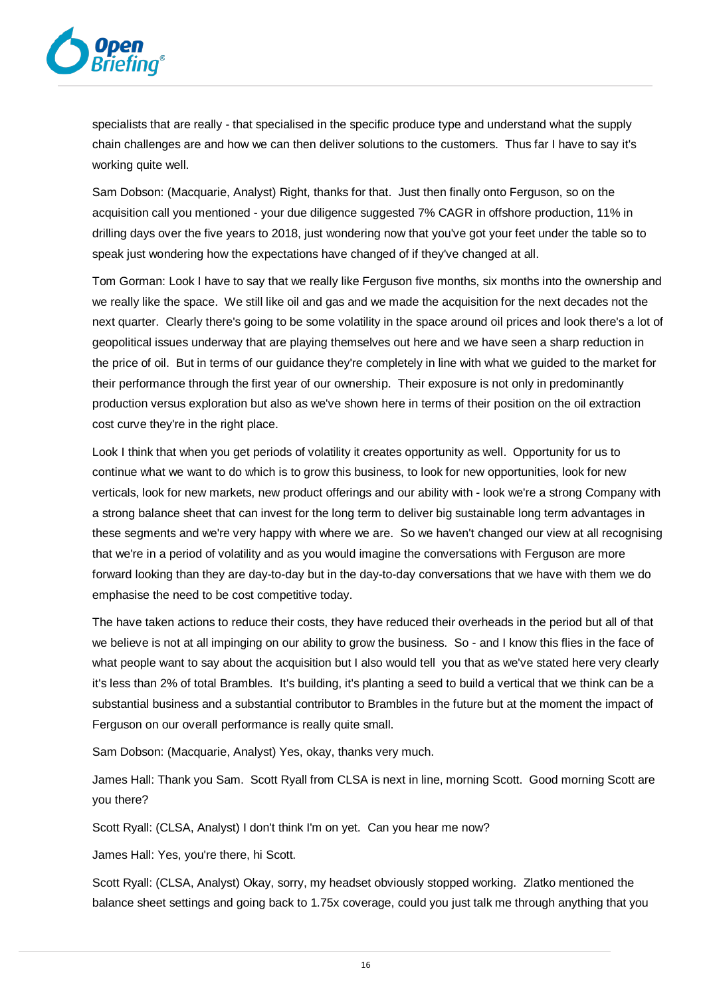

specialists that are really - that specialised in the specific produce type and understand what the supply chain challenges are and how we can then deliver solutions to the customers. Thus far I have to say it's working quite well.

Sam Dobson: (Macquarie, Analyst) Right, thanks for that. Just then finally onto Ferguson, so on the acquisition call you mentioned - your due diligence suggested 7% CAGR in offshore production, 11% in drilling days over the five years to 2018, just wondering now that you've got your feet under the table so to speak just wondering how the expectations have changed of if they've changed at all.

Tom Gorman: Look I have to say that we really like Ferguson five months, six months into the ownership and we really like the space. We still like oil and gas and we made the acquisition for the next decades not the next quarter. Clearly there's going to be some volatility in the space around oil prices and look there's a lot of geopolitical issues underway that are playing themselves out here and we have seen a sharp reduction in the price of oil. But in terms of our guidance they're completely in line with what we guided to the market for their performance through the first year of our ownership. Their exposure is not only in predominantly production versus exploration but also as we've shown here in terms of their position on the oil extraction cost curve they're in the right place.

Look I think that when you get periods of volatility it creates opportunity as well. Opportunity for us to continue what we want to do which is to grow this business, to look for new opportunities, look for new verticals, look for new markets, new product offerings and our ability with - look we're a strong Company with a strong balance sheet that can invest for the long term to deliver big sustainable long term advantages in these segments and we're very happy with where we are. So we haven't changed our view at all recognising that we're in a period of volatility and as you would imagine the conversations with Ferguson are more forward looking than they are day-to-day but in the day-to-day conversations that we have with them we do emphasise the need to be cost competitive today.

The have taken actions to reduce their costs, they have reduced their overheads in the period but all of that we believe is not at all impinging on our ability to grow the business. So - and I know this flies in the face of what people want to say about the acquisition but I also would tell you that as we've stated here very clearly it's less than 2% of total Brambles. It's building, it's planting a seed to build a vertical that we think can be a substantial business and a substantial contributor to Brambles in the future but at the moment the impact of Ferguson on our overall performance is really quite small.

Sam Dobson: (Macquarie, Analyst) Yes, okay, thanks very much.

James Hall: Thank you Sam. Scott Ryall from CLSA is next in line, morning Scott. Good morning Scott are you there?

Scott Ryall: (CLSA, Analyst) I don't think I'm on yet. Can you hear me now?

James Hall: Yes, you're there, hi Scott.

Scott Ryall: (CLSA, Analyst) Okay, sorry, my headset obviously stopped working. Zlatko mentioned the balance sheet settings and going back to 1.75x coverage, could you just talk me through anything that you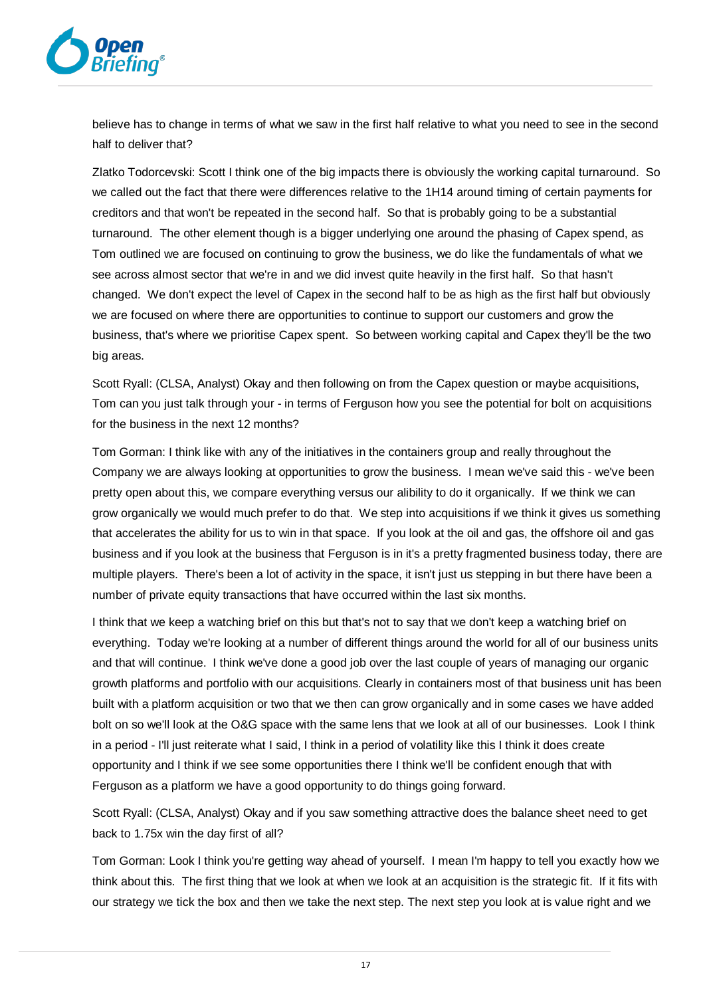

believe has to change in terms of what we saw in the first half relative to what you need to see in the second half to deliver that?

Zlatko Todorcevski: Scott I think one of the big impacts there is obviously the working capital turnaround. So we called out the fact that there were differences relative to the 1H14 around timing of certain payments for creditors and that won't be repeated in the second half. So that is probably going to be a substantial turnaround. The other element though is a bigger underlying one around the phasing of Capex spend, as Tom outlined we are focused on continuing to grow the business, we do like the fundamentals of what we see across almost sector that we're in and we did invest quite heavily in the first half. So that hasn't changed. We don't expect the level of Capex in the second half to be as high as the first half but obviously we are focused on where there are opportunities to continue to support our customers and grow the business, that's where we prioritise Capex spent. So between working capital and Capex they'll be the two big areas.

Scott Ryall: (CLSA, Analyst) Okay and then following on from the Capex question or maybe acquisitions, Tom can you just talk through your - in terms of Ferguson how you see the potential for bolt on acquisitions for the business in the next 12 months?

Tom Gorman: I think like with any of the initiatives in the containers group and really throughout the Company we are always looking at opportunities to grow the business. I mean we've said this - we've been pretty open about this, we compare everything versus our alibility to do it organically. If we think we can grow organically we would much prefer to do that. We step into acquisitions if we think it gives us something that accelerates the ability for us to win in that space. If you look at the oil and gas, the offshore oil and gas business and if you look at the business that Ferguson is in it's a pretty fragmented business today, there are multiple players. There's been a lot of activity in the space, it isn't just us stepping in but there have been a number of private equity transactions that have occurred within the last six months.

I think that we keep a watching brief on this but that's not to say that we don't keep a watching brief on everything. Today we're looking at a number of different things around the world for all of our business units and that will continue. I think we've done a good job over the last couple of years of managing our organic growth platforms and portfolio with our acquisitions. Clearly in containers most of that business unit has been built with a platform acquisition or two that we then can grow organically and in some cases we have added bolt on so we'll look at the O&G space with the same lens that we look at all of our businesses. Look I think in a period - I'll just reiterate what I said, I think in a period of volatility like this I think it does create opportunity and I think if we see some opportunities there I think we'll be confident enough that with Ferguson as a platform we have a good opportunity to do things going forward.

Scott Ryall: (CLSA, Analyst) Okay and if you saw something attractive does the balance sheet need to get back to 1.75x win the day first of all?

Tom Gorman: Look I think you're getting way ahead of yourself. I mean I'm happy to tell you exactly how we think about this. The first thing that we look at when we look at an acquisition is the strategic fit. If it fits with our strategy we tick the box and then we take the next step. The next step you look at is value right and we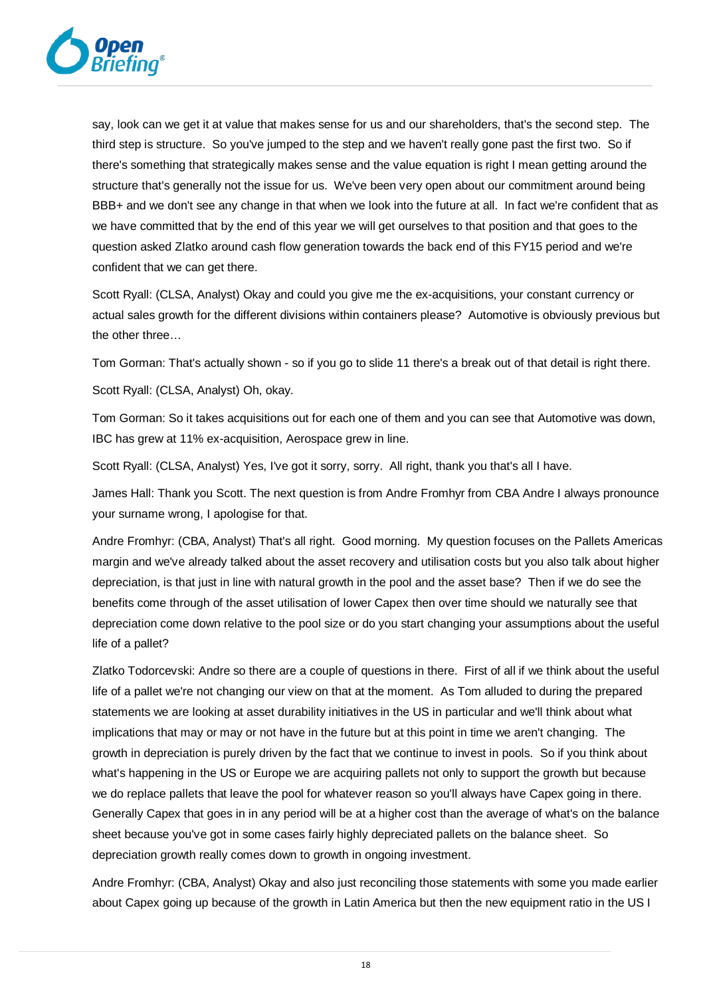

say, look can we get it at value that makes sense for us and our shareholders, that's the second step. The third step is structure. So you've jumped to the step and we haven't really gone past the first two. So if there's something that strategically makes sense and the value equation is right I mean getting around the structure that's generally not the issue for us. We've been very open about our commitment around being BBB+ and we don't see any change in that when we look into the future at all. In fact we're confident that as we have committed that by the end of this year we will get ourselves to that position and that goes to the question asked Zlatko around cash flow generation towards the back end of this FY15 period and we're confident that we can get there.

Scott Ryall: (CLSA, Analyst) Okay and could you give me the ex-acquisitions, your constant currency or actual sales growth for the different divisions within containers please? Automotive is obviously previous but the other three…

Tom Gorman: That's actually shown - so if you go to slide 11 there's a break out of that detail is right there.

Scott Ryall: (CLSA, Analyst) Oh, okay.

Tom Gorman: So it takes acquisitions out for each one of them and you can see that Automotive was down, IBC has grew at 11% ex-acquisition, Aerospace grew in line.

Scott Ryall: (CLSA, Analyst) Yes, I've got it sorry, sorry. All right, thank you that's all I have.

James Hall: Thank you Scott. The next question is from Andre Fromhyr from CBA Andre I always pronounce your surname wrong, I apologise for that.

Andre Fromhyr: (CBA, Analyst) That's all right. Good morning. My question focuses on the Pallets Americas margin and we've already talked about the asset recovery and utilisation costs but you also talk about higher depreciation, is that just in line with natural growth in the pool and the asset base? Then if we do see the benefits come through of the asset utilisation of lower Capex then over time should we naturally see that depreciation come down relative to the pool size or do you start changing your assumptions about the useful life of a pallet?

Zlatko Todorcevski: Andre so there are a couple of questions in there. First of all if we think about the useful life of a pallet we're not changing our view on that at the moment. As Tom alluded to during the prepared statements we are looking at asset durability initiatives in the US in particular and we'll think about what implications that may or may or not have in the future but at this point in time we aren't changing. The growth in depreciation is purely driven by the fact that we continue to invest in pools. So if you think about what's happening in the US or Europe we are acquiring pallets not only to support the growth but because we do replace pallets that leave the pool for whatever reason so you'll always have Capex going in there. Generally Capex that goes in in any period will be at a higher cost than the average of what's on the balance sheet because you've got in some cases fairly highly depreciated pallets on the balance sheet. So depreciation growth really comes down to growth in ongoing investment.

Andre Fromhyr: (CBA, Analyst) Okay and also just reconciling those statements with some you made earlier about Capex going up because of the growth in Latin America but then the new equipment ratio in the US I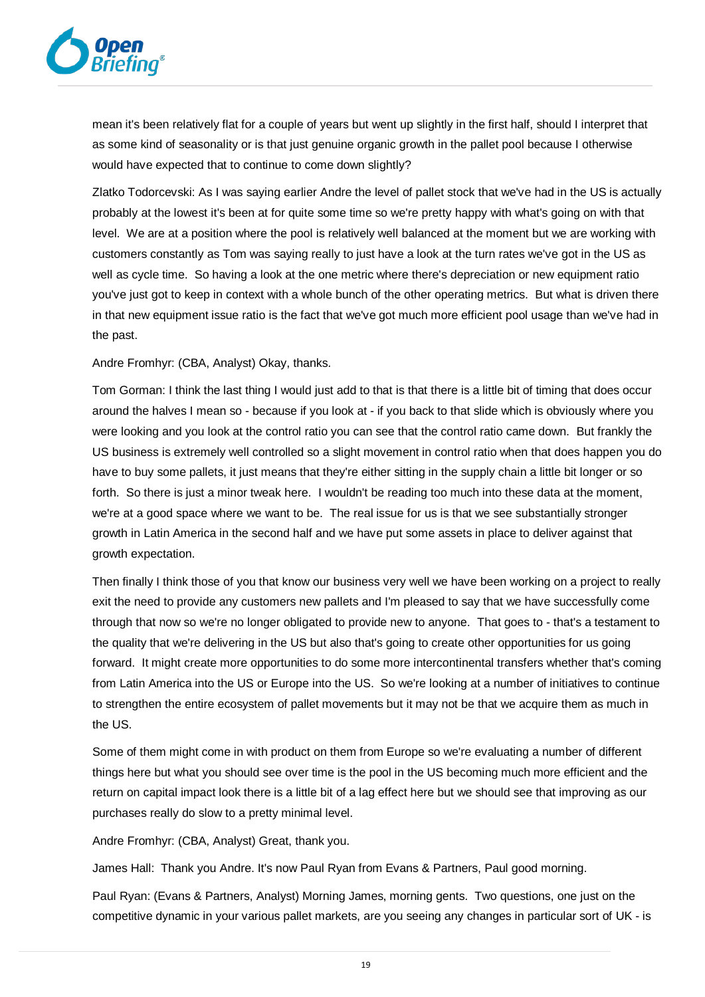

mean it's been relatively flat for a couple of years but went up slightly in the first half, should I interpret that as some kind of seasonality or is that just genuine organic growth in the pallet pool because I otherwise would have expected that to continue to come down slightly?

Zlatko Todorcevski: As I was saying earlier Andre the level of pallet stock that we've had in the US is actually probably at the lowest it's been at for quite some time so we're pretty happy with what's going on with that level. We are at a position where the pool is relatively well balanced at the moment but we are working with customers constantly as Tom was saying really to just have a look at the turn rates we've got in the US as well as cycle time. So having a look at the one metric where there's depreciation or new equipment ratio you've just got to keep in context with a whole bunch of the other operating metrics. But what is driven there in that new equipment issue ratio is the fact that we've got much more efficient pool usage than we've had in the past.

Andre Fromhyr: (CBA, Analyst) Okay, thanks.

Tom Gorman: I think the last thing I would just add to that is that there is a little bit of timing that does occur around the halves I mean so - because if you look at - if you back to that slide which is obviously where you were looking and you look at the control ratio you can see that the control ratio came down. But frankly the US business is extremely well controlled so a slight movement in control ratio when that does happen you do have to buy some pallets, it just means that they're either sitting in the supply chain a little bit longer or so forth. So there is just a minor tweak here. I wouldn't be reading too much into these data at the moment, we're at a good space where we want to be. The real issue for us is that we see substantially stronger growth in Latin America in the second half and we have put some assets in place to deliver against that growth expectation.

Then finally I think those of you that know our business very well we have been working on a project to really exit the need to provide any customers new pallets and I'm pleased to say that we have successfully come through that now so we're no longer obligated to provide new to anyone. That goes to - that's a testament to the quality that we're delivering in the US but also that's going to create other opportunities for us going forward. It might create more opportunities to do some more intercontinental transfers whether that's coming from Latin America into the US or Europe into the US. So we're looking at a number of initiatives to continue to strengthen the entire ecosystem of pallet movements but it may not be that we acquire them as much in the US.

Some of them might come in with product on them from Europe so we're evaluating a number of different things here but what you should see over time is the pool in the US becoming much more efficient and the return on capital impact look there is a little bit of a lag effect here but we should see that improving as our purchases really do slow to a pretty minimal level.

Andre Fromhyr: (CBA, Analyst) Great, thank you.

James Hall: Thank you Andre. It's now Paul Ryan from Evans & Partners, Paul good morning.

Paul Ryan: (Evans & Partners, Analyst) Morning James, morning gents. Two questions, one just on the competitive dynamic in your various pallet markets, are you seeing any changes in particular sort of UK - is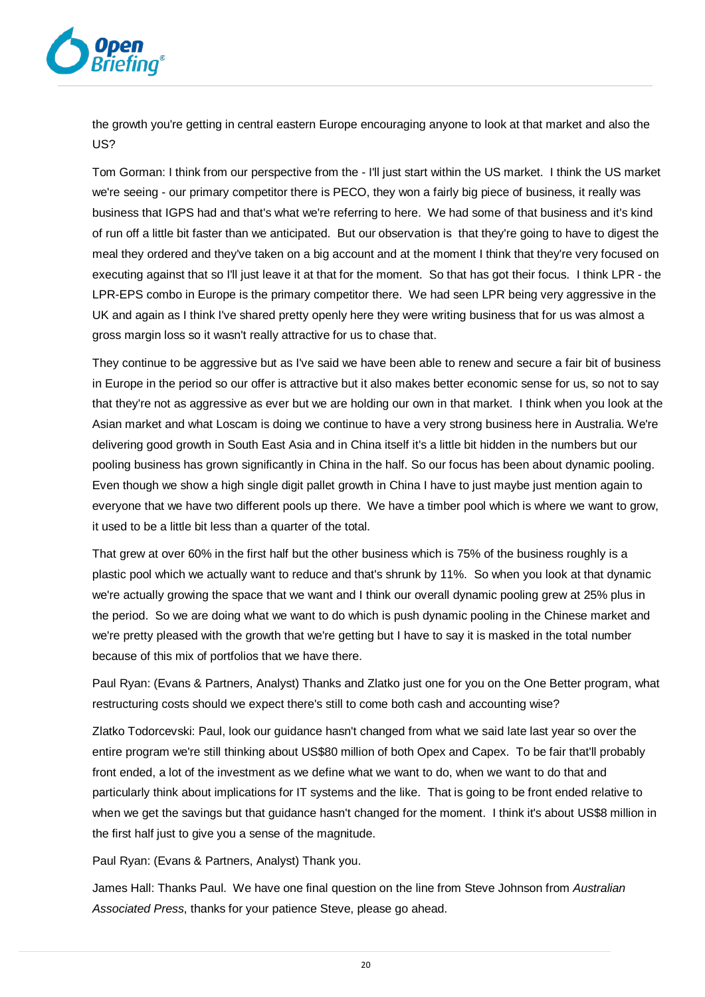

the growth you're getting in central eastern Europe encouraging anyone to look at that market and also the US?

Tom Gorman: I think from our perspective from the - I'll just start within the US market. I think the US market we're seeing - our primary competitor there is PECO, they won a fairly big piece of business, it really was business that IGPS had and that's what we're referring to here. We had some of that business and it's kind of run off a little bit faster than we anticipated. But our observation is that they're going to have to digest the meal they ordered and they've taken on a big account and at the moment I think that they're very focused on executing against that so I'll just leave it at that for the moment. So that has got their focus. I think LPR - the LPR-EPS combo in Europe is the primary competitor there. We had seen LPR being very aggressive in the UK and again as I think I've shared pretty openly here they were writing business that for us was almost a gross margin loss so it wasn't really attractive for us to chase that.

They continue to be aggressive but as I've said we have been able to renew and secure a fair bit of business in Europe in the period so our offer is attractive but it also makes better economic sense for us, so not to say that they're not as aggressive as ever but we are holding our own in that market. I think when you look at the Asian market and what Loscam is doing we continue to have a very strong business here in Australia. We're delivering good growth in South East Asia and in China itself it's a little bit hidden in the numbers but our pooling business has grown significantly in China in the half. So our focus has been about dynamic pooling. Even though we show a high single digit pallet growth in China I have to just maybe just mention again to everyone that we have two different pools up there. We have a timber pool which is where we want to grow, it used to be a little bit less than a quarter of the total.

That grew at over 60% in the first half but the other business which is 75% of the business roughly is a plastic pool which we actually want to reduce and that's shrunk by 11%. So when you look at that dynamic we're actually growing the space that we want and I think our overall dynamic pooling grew at 25% plus in the period. So we are doing what we want to do which is push dynamic pooling in the Chinese market and we're pretty pleased with the growth that we're getting but I have to say it is masked in the total number because of this mix of portfolios that we have there.

Paul Ryan: (Evans & Partners, Analyst) Thanks and Zlatko just one for you on the One Better program, what restructuring costs should we expect there's still to come both cash and accounting wise?

Zlatko Todorcevski: Paul, look our guidance hasn't changed from what we said late last year so over the entire program we're still thinking about US\$80 million of both Opex and Capex. To be fair that'll probably front ended, a lot of the investment as we define what we want to do, when we want to do that and particularly think about implications for IT systems and the like. That is going to be front ended relative to when we get the savings but that guidance hasn't changed for the moment. I think it's about US\$8 million in the first half just to give you a sense of the magnitude.

Paul Ryan: (Evans & Partners, Analyst) Thank you.

James Hall: Thanks Paul. We have one final question on the line from Steve Johnson from *Australian Associated Press*, thanks for your patience Steve, please go ahead.